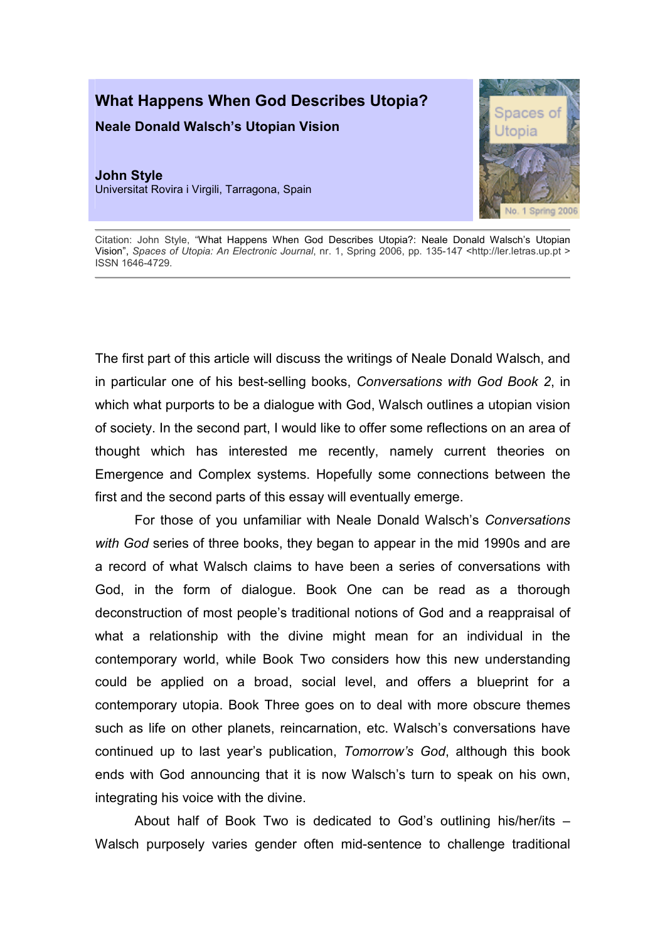## What Happens When God Describes Utopia?

Neale Donald Walsch's Utopian Vision

John Style Universitat Rovira i Virgili, Tarragona, Spain



Citation: John Style, "What Happens When God Describes Utopia?: Neale Donald Walsch's Utopian Vision", Spaces of Utopia: An Electronic Journal, nr. 1, Spring 2006, pp. 135-147 <http://ler.letras.up.pt > ISSN 1646-4729.

The first part of this article will discuss the writings of Neale Donald Walsch, and in particular one of his best-selling books, Conversations with God Book 2, in which what purports to be a dialogue with God, Walsch outlines a utopian vision of society. In the second part, I would like to offer some reflections on an area of thought which has interested me recently, namely current theories on Emergence and Complex systems. Hopefully some connections between the first and the second parts of this essay will eventually emerge.

For those of you unfamiliar with Neale Donald Walsch's Conversations with God series of three books, they began to appear in the mid 1990s and are a record of what Walsch claims to have been a series of conversations with God, in the form of dialogue. Book One can be read as a thorough deconstruction of most people's traditional notions of God and a reappraisal of what a relationship with the divine might mean for an individual in the contemporary world, while Book Two considers how this new understanding could be applied on a broad, social level, and offers a blueprint for a contemporary utopia. Book Three goes on to deal with more obscure themes such as life on other planets, reincarnation, etc. Walsch's conversations have continued up to last year's publication, Tomorrow's God, although this book ends with God announcing that it is now Walsch's turn to speak on his own, integrating his voice with the divine.

About half of Book Two is dedicated to God's outlining his/her/its – Walsch purposely varies gender often mid-sentence to challenge traditional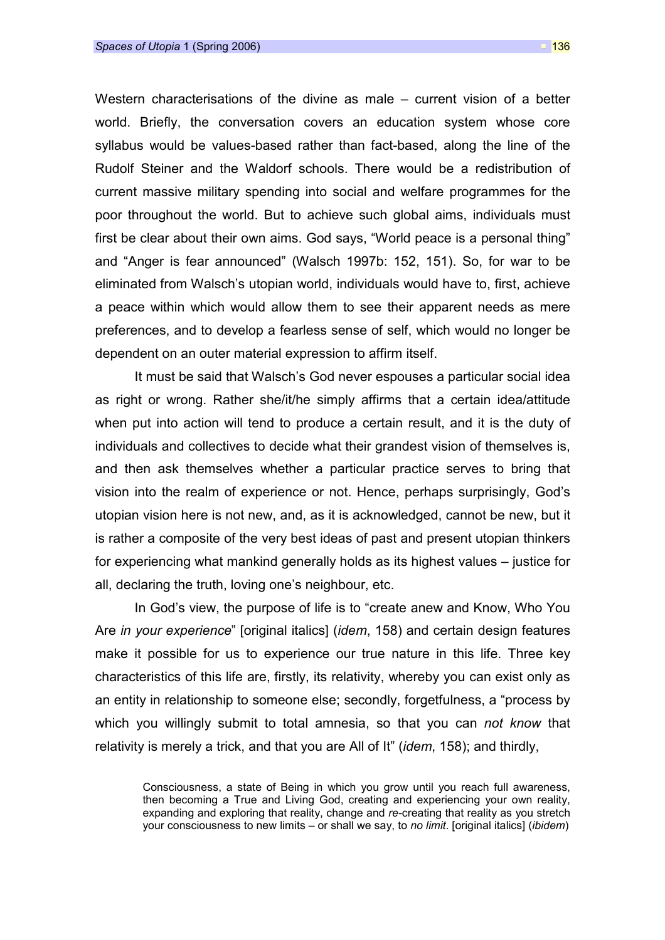Western characterisations of the divine as male – current vision of a better world. Briefly, the conversation covers an education system whose core syllabus would be values-based rather than fact-based, along the line of the Rudolf Steiner and the Waldorf schools. There would be a redistribution of current massive military spending into social and welfare programmes for the poor throughout the world. But to achieve such global aims, individuals must first be clear about their own aims. God says, "World peace is a personal thing" and "Anger is fear announced" (Walsch 1997b: 152, 151). So, for war to be eliminated from Walsch's utopian world, individuals would have to, first, achieve a peace within which would allow them to see their apparent needs as mere preferences, and to develop a fearless sense of self, which would no longer be dependent on an outer material expression to affirm itself.

It must be said that Walsch's God never espouses a particular social idea as right or wrong. Rather she/it/he simply affirms that a certain idea/attitude when put into action will tend to produce a certain result, and it is the duty of individuals and collectives to decide what their grandest vision of themselves is, and then ask themselves whether a particular practice serves to bring that vision into the realm of experience or not. Hence, perhaps surprisingly, God's utopian vision here is not new, and, as it is acknowledged, cannot be new, but it is rather a composite of the very best ideas of past and present utopian thinkers for experiencing what mankind generally holds as its highest values – justice for all, declaring the truth, loving one's neighbour, etc.

In God's view, the purpose of life is to "create anew and Know, Who You Are in your experience" [original italics] (idem, 158) and certain design features make it possible for us to experience our true nature in this life. Three key characteristics of this life are, firstly, its relativity, whereby you can exist only as an entity in relationship to someone else; secondly, forgetfulness, a "process by which you willingly submit to total amnesia, so that you can not know that relativity is merely a trick, and that you are All of It" *(idem*, 158); and thirdly,

Consciousness, a state of Being in which you grow until you reach full awareness, then becoming a True and Living God, creating and experiencing your own reality, expanding and exploring that reality, change and re-creating that reality as you stretch your consciousness to new limits – or shall we say, to no limit. [original italics] (ibidem)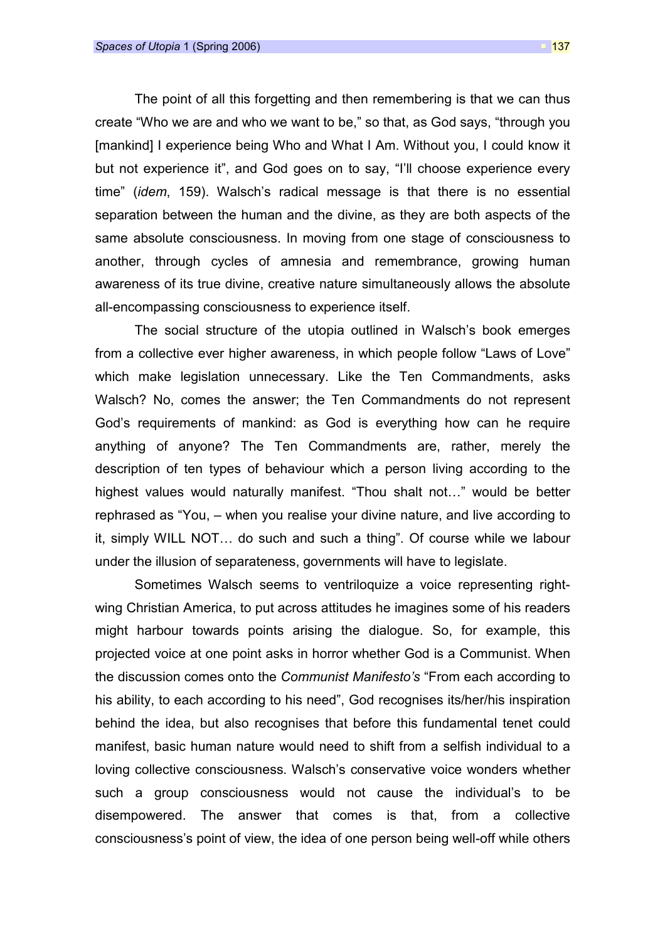The point of all this forgetting and then remembering is that we can thus create "Who we are and who we want to be," so that, as God says, "through you [mankind] I experience being Who and What I Am. Without you, I could know it but not experience it", and God goes on to say, "I'll choose experience every time" (idem, 159). Walsch's radical message is that there is no essential separation between the human and the divine, as they are both aspects of the same absolute consciousness. In moving from one stage of consciousness to another, through cycles of amnesia and remembrance, growing human awareness of its true divine, creative nature simultaneously allows the absolute all-encompassing consciousness to experience itself.

The social structure of the utopia outlined in Walsch's book emerges from a collective ever higher awareness, in which people follow "Laws of Love" which make legislation unnecessary. Like the Ten Commandments, asks Walsch? No, comes the answer; the Ten Commandments do not represent God's requirements of mankind: as God is everything how can he require anything of anyone? The Ten Commandments are, rather, merely the description of ten types of behaviour which a person living according to the highest values would naturally manifest. "Thou shalt not…" would be better rephrased as "You, – when you realise your divine nature, and live according to it, simply WILL NOT… do such and such a thing". Of course while we labour under the illusion of separateness, governments will have to legislate.

Sometimes Walsch seems to ventriloquize a voice representing rightwing Christian America, to put across attitudes he imagines some of his readers might harbour towards points arising the dialogue. So, for example, this projected voice at one point asks in horror whether God is a Communist. When the discussion comes onto the Communist Manifesto's "From each according to his ability, to each according to his need", God recognises its/her/his inspiration behind the idea, but also recognises that before this fundamental tenet could manifest, basic human nature would need to shift from a selfish individual to a loving collective consciousness. Walsch's conservative voice wonders whether such a group consciousness would not cause the individual's to be disempowered. The answer that comes is that, from a collective consciousness's point of view, the idea of one person being well-off while others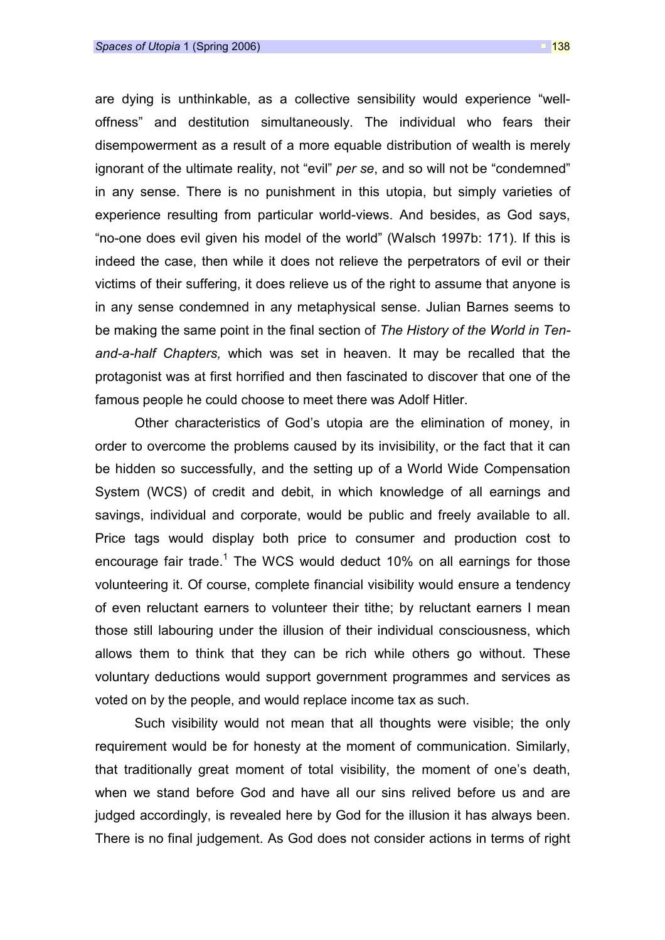are dying is unthinkable, as a collective sensibility would experience "welloffness" and destitution simultaneously. The individual who fears their disempowerment as a result of a more equable distribution of wealth is merely ignorant of the ultimate reality, not "evil" per se, and so will not be "condemned" in any sense. There is no punishment in this utopia, but simply varieties of experience resulting from particular world-views. And besides, as God says, "no-one does evil given his model of the world" (Walsch 1997b: 171). If this is indeed the case, then while it does not relieve the perpetrators of evil or their victims of their suffering, it does relieve us of the right to assume that anyone is in any sense condemned in any metaphysical sense. Julian Barnes seems to be making the same point in the final section of The History of the World in Tenand-a-half Chapters, which was set in heaven. It may be recalled that the protagonist was at first horrified and then fascinated to discover that one of the famous people he could choose to meet there was Adolf Hitler.

Other characteristics of God's utopia are the elimination of money, in order to overcome the problems caused by its invisibility, or the fact that it can be hidden so successfully, and the setting up of a World Wide Compensation System (WCS) of credit and debit, in which knowledge of all earnings and savings, individual and corporate, would be public and freely available to all. Price tags would display both price to consumer and production cost to encourage fair trade.<sup>1</sup> The WCS would deduct 10% on all earnings for those volunteering it. Of course, complete financial visibility would ensure a tendency of even reluctant earners to volunteer their tithe; by reluctant earners I mean those still labouring under the illusion of their individual consciousness, which allows them to think that they can be rich while others go without. These voluntary deductions would support government programmes and services as voted on by the people, and would replace income tax as such.

Such visibility would not mean that all thoughts were visible; the only requirement would be for honesty at the moment of communication. Similarly, that traditionally great moment of total visibility, the moment of one's death, when we stand before God and have all our sins relived before us and are judged accordingly, is revealed here by God for the illusion it has always been. There is no final judgement. As God does not consider actions in terms of right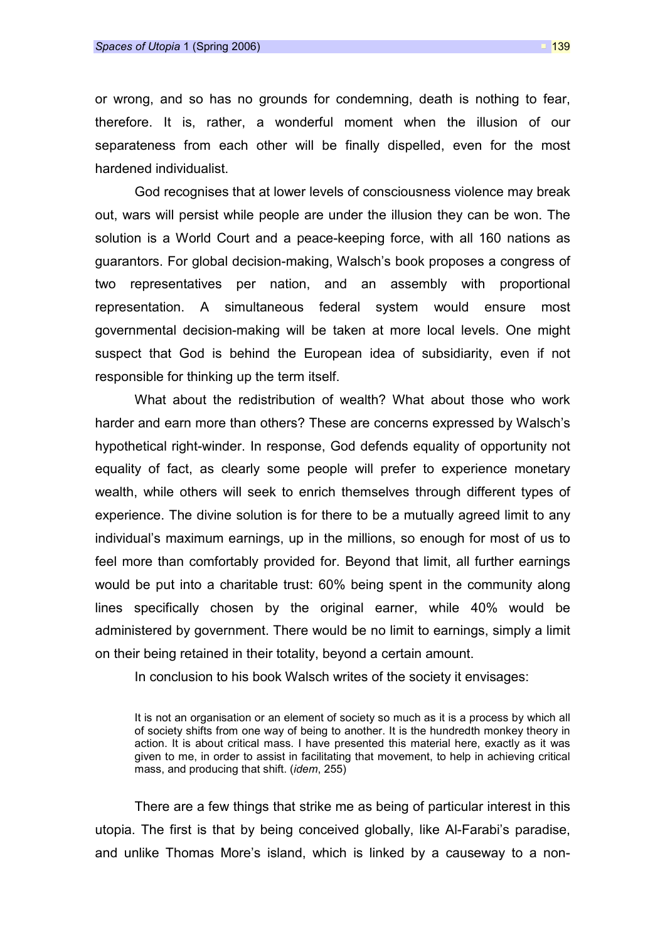or wrong, and so has no grounds for condemning, death is nothing to fear, therefore. It is, rather, a wonderful moment when the illusion of our separateness from each other will be finally dispelled, even for the most hardened individualist.

God recognises that at lower levels of consciousness violence may break out, wars will persist while people are under the illusion they can be won. The solution is a World Court and a peace-keeping force, with all 160 nations as guarantors. For global decision-making, Walsch's book proposes a congress of two representatives per nation, and an assembly with proportional representation. A simultaneous federal system would ensure most governmental decision-making will be taken at more local levels. One might suspect that God is behind the European idea of subsidiarity, even if not responsible for thinking up the term itself.

What about the redistribution of wealth? What about those who work harder and earn more than others? These are concerns expressed by Walsch's hypothetical right-winder. In response, God defends equality of opportunity not equality of fact, as clearly some people will prefer to experience monetary wealth, while others will seek to enrich themselves through different types of experience. The divine solution is for there to be a mutually agreed limit to any individual's maximum earnings, up in the millions, so enough for most of us to feel more than comfortably provided for. Beyond that limit, all further earnings would be put into a charitable trust: 60% being spent in the community along lines specifically chosen by the original earner, while 40% would be administered by government. There would be no limit to earnings, simply a limit on their being retained in their totality, beyond a certain amount.

In conclusion to his book Walsch writes of the society it envisages:

There are a few things that strike me as being of particular interest in this utopia. The first is that by being conceived globally, like Al-Farabi's paradise, and unlike Thomas More's island, which is linked by a causeway to a non-

It is not an organisation or an element of society so much as it is a process by which all of society shifts from one way of being to another. It is the hundredth monkey theory in action. It is about critical mass. I have presented this material here, exactly as it was given to me, in order to assist in facilitating that movement, to help in achieving critical mass, and producing that shift. (idem, 255)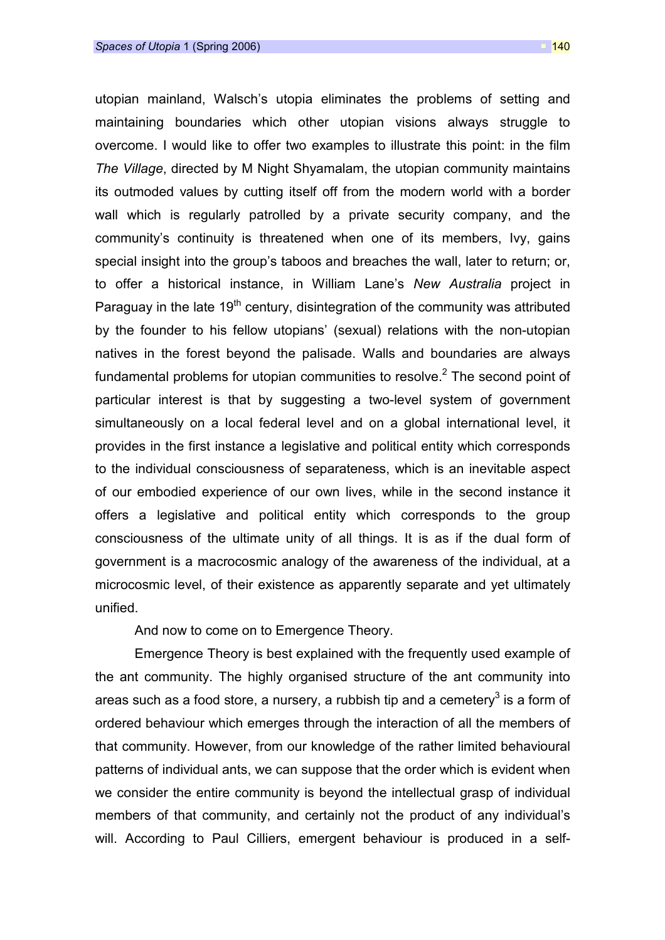utopian mainland, Walsch's utopia eliminates the problems of setting and maintaining boundaries which other utopian visions always struggle to overcome. I would like to offer two examples to illustrate this point: in the film The Village, directed by M Night Shyamalam, the utopian community maintains its outmoded values by cutting itself off from the modern world with a border wall which is regularly patrolled by a private security company, and the community's continuity is threatened when one of its members, Ivy, gains special insight into the group's taboos and breaches the wall, later to return; or, to offer a historical instance, in William Lane's New Australia project in Paraguay in the late  $19<sup>th</sup>$  century, disintegration of the community was attributed by the founder to his fellow utopians' (sexual) relations with the non-utopian natives in the forest beyond the palisade. Walls and boundaries are always fundamental problems for utopian communities to resolve.<sup>2</sup> The second point of particular interest is that by suggesting a two-level system of government simultaneously on a local federal level and on a global international level, it provides in the first instance a legislative and political entity which corresponds to the individual consciousness of separateness, which is an inevitable aspect of our embodied experience of our own lives, while in the second instance it offers a legislative and political entity which corresponds to the group consciousness of the ultimate unity of all things. It is as if the dual form of government is a macrocosmic analogy of the awareness of the individual, at a microcosmic level, of their existence as apparently separate and yet ultimately unified.

And now to come on to Emergence Theory.

Emergence Theory is best explained with the frequently used example of the ant community. The highly organised structure of the ant community into areas such as a food store, a nursery, a rubbish tip and a cemetery $^3$  is a form of ordered behaviour which emerges through the interaction of all the members of that community. However, from our knowledge of the rather limited behavioural patterns of individual ants, we can suppose that the order which is evident when we consider the entire community is beyond the intellectual grasp of individual members of that community, and certainly not the product of any individual's will. According to Paul Cilliers, emergent behaviour is produced in a self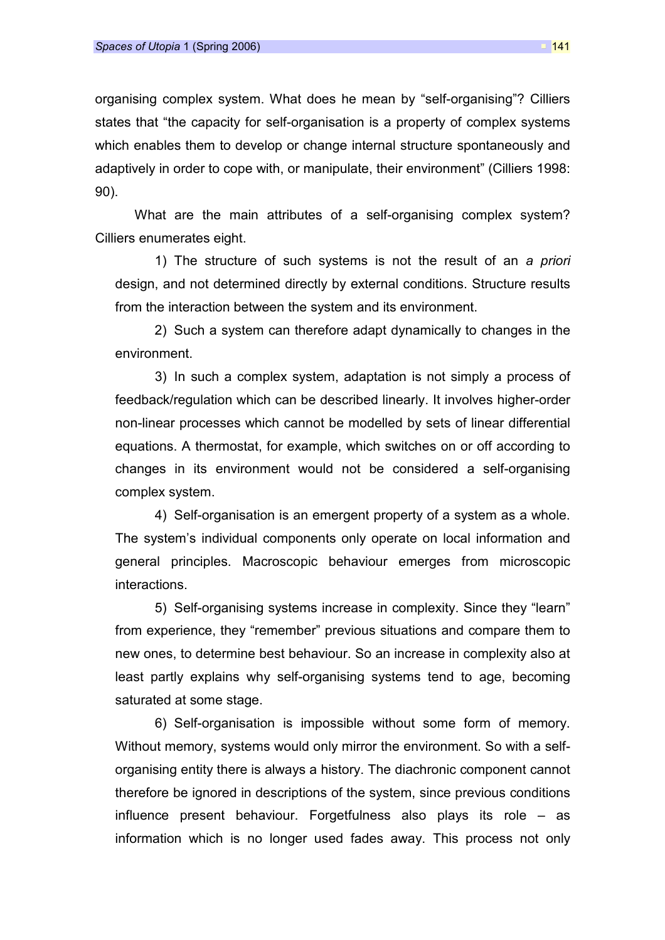organising complex system. What does he mean by "self-organising"? Cilliers states that "the capacity for self-organisation is a property of complex systems which enables them to develop or change internal structure spontaneously and adaptively in order to cope with, or manipulate, their environment" (Cilliers 1998: 90).

What are the main attributes of a self-organising complex system? Cilliers enumerates eight.

1) The structure of such systems is not the result of an a priori design, and not determined directly by external conditions. Structure results from the interaction between the system and its environment.

2) Such a system can therefore adapt dynamically to changes in the environment.

3) In such a complex system, adaptation is not simply a process of feedback/regulation which can be described linearly. It involves higher-order non-linear processes which cannot be modelled by sets of linear differential equations. A thermostat, for example, which switches on or off according to changes in its environment would not be considered a self-organising complex system.

4) Self-organisation is an emergent property of a system as a whole. The system's individual components only operate on local information and general principles. Macroscopic behaviour emerges from microscopic interactions.

5) Self-organising systems increase in complexity. Since they "learn" from experience, they "remember" previous situations and compare them to new ones, to determine best behaviour. So an increase in complexity also at least partly explains why self-organising systems tend to age, becoming saturated at some stage.

6) Self-organisation is impossible without some form of memory. Without memory, systems would only mirror the environment. So with a selforganising entity there is always a history. The diachronic component cannot therefore be ignored in descriptions of the system, since previous conditions influence present behaviour. Forgetfulness also plays its role – as information which is no longer used fades away. This process not only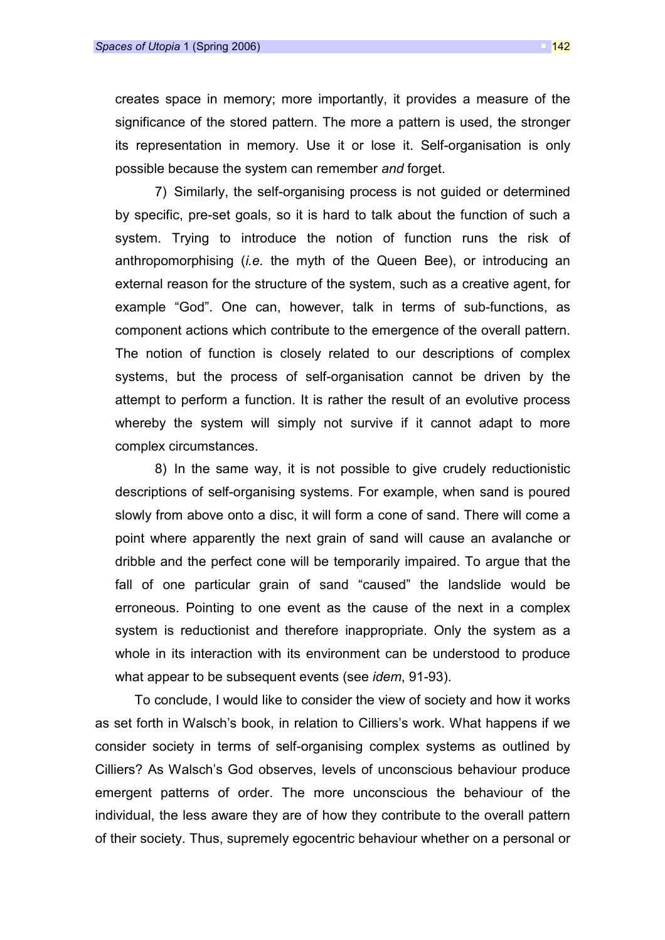creates space in memory; more importantly, it provides a measure of the significance of the stored pattern. The more a pattern is used, the stronger its representation in memory. Use it or lose it. Self-organisation is only possible because the system can remember and forget.

7) Similarly, the self-organising process is not guided or determined by specific, pre-set goals, so it is hard to talk about the function of such a system. Trying to introduce the notion of function runs the risk of anthropomorphising *(i.e.* the myth of the Queen Bee), or introducing an external reason for the structure of the system, such as a creative agent, for example "God". One can, however, talk in terms of sub-functions, as component actions which contribute to the emergence of the overall pattern. The notion of function is closely related to our descriptions of complex systems, but the process of self-organisation cannot be driven by the attempt to perform a function. It is rather the result of an evolutive process whereby the system will simply not survive if it cannot adapt to more complex circumstances.

8) In the same way, it is not possible to give crudely reductionistic descriptions of self-organising systems. For example, when sand is poured slowly from above onto a disc, it will form a cone of sand. There will come a point where apparently the next grain of sand will cause an avalanche or dribble and the perfect cone will be temporarily impaired. To argue that the fall of one particular grain of sand "caused" the landslide would be erroneous. Pointing to one event as the cause of the next in a complex system is reductionist and therefore inappropriate. Only the system as a whole in its interaction with its environment can be understood to produce what appear to be subsequent events (see *idem*, 91-93).

To conclude, I would like to consider the view of society and how it works as set forth in Walsch's book, in relation to Cilliers's work. What happens if we consider society in terms of self-organising complex systems as outlined by Cilliers? As Walsch's God observes, levels of unconscious behaviour produce emergent patterns of order. The more unconscious the behaviour of the individual, the less aware they are of how they contribute to the overall pattern of their society. Thus, supremely egocentric behaviour whether on a personal or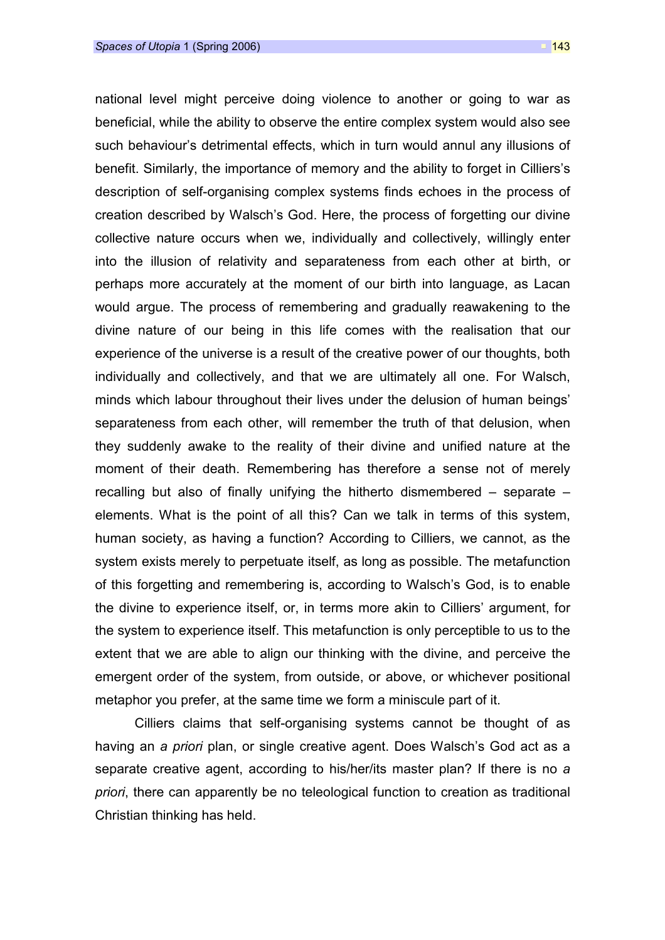national level might perceive doing violence to another or going to war as beneficial, while the ability to observe the entire complex system would also see such behaviour's detrimental effects, which in turn would annul any illusions of benefit. Similarly, the importance of memory and the ability to forget in Cilliers's description of self-organising complex systems finds echoes in the process of creation described by Walsch's God. Here, the process of forgetting our divine collective nature occurs when we, individually and collectively, willingly enter into the illusion of relativity and separateness from each other at birth, or perhaps more accurately at the moment of our birth into language, as Lacan would argue. The process of remembering and gradually reawakening to the divine nature of our being in this life comes with the realisation that our experience of the universe is a result of the creative power of our thoughts, both individually and collectively, and that we are ultimately all one. For Walsch, minds which labour throughout their lives under the delusion of human beings' separateness from each other, will remember the truth of that delusion, when they suddenly awake to the reality of their divine and unified nature at the moment of their death. Remembering has therefore a sense not of merely recalling but also of finally unifying the hitherto dismembered – separate – elements. What is the point of all this? Can we talk in terms of this system, human society, as having a function? According to Cilliers, we cannot, as the system exists merely to perpetuate itself, as long as possible. The metafunction of this forgetting and remembering is, according to Walsch's God, is to enable the divine to experience itself, or, in terms more akin to Cilliers' argument, for the system to experience itself. This metafunction is only perceptible to us to the extent that we are able to align our thinking with the divine, and perceive the emergent order of the system, from outside, or above, or whichever positional metaphor you prefer, at the same time we form a miniscule part of it.

Cilliers claims that self-organising systems cannot be thought of as having an a *priori* plan, or single creative agent. Does Walsch's God act as a separate creative agent, according to his/her/its master plan? If there is no a priori, there can apparently be no teleological function to creation as traditional Christian thinking has held.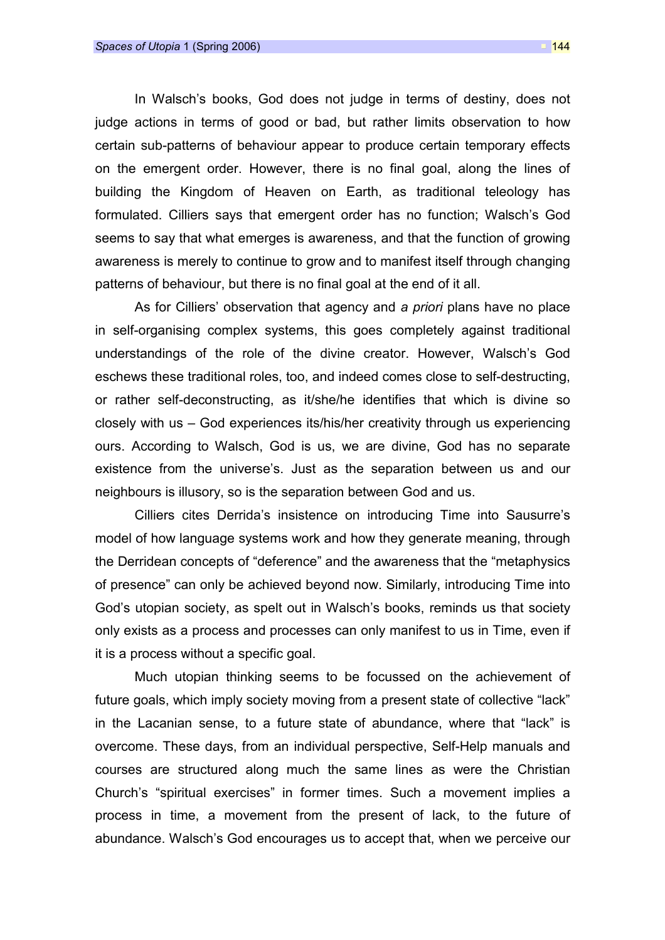In Walsch's books, God does not judge in terms of destiny, does not judge actions in terms of good or bad, but rather limits observation to how certain sub-patterns of behaviour appear to produce certain temporary effects on the emergent order. However, there is no final goal, along the lines of building the Kingdom of Heaven on Earth, as traditional teleology has formulated. Cilliers says that emergent order has no function; Walsch's God seems to say that what emerges is awareness, and that the function of growing awareness is merely to continue to grow and to manifest itself through changing patterns of behaviour, but there is no final goal at the end of it all.

As for Cilliers' observation that agency and a priori plans have no place in self-organising complex systems, this goes completely against traditional understandings of the role of the divine creator. However, Walsch's God eschews these traditional roles, too, and indeed comes close to self-destructing, or rather self-deconstructing, as it/she/he identifies that which is divine so closely with us – God experiences its/his/her creativity through us experiencing ours. According to Walsch, God is us, we are divine, God has no separate existence from the universe's. Just as the separation between us and our neighbours is illusory, so is the separation between God and us.

Cilliers cites Derrida's insistence on introducing Time into Sausurre's model of how language systems work and how they generate meaning, through the Derridean concepts of "deference" and the awareness that the "metaphysics of presence" can only be achieved beyond now. Similarly, introducing Time into God's utopian society, as spelt out in Walsch's books, reminds us that society only exists as a process and processes can only manifest to us in Time, even if it is a process without a specific goal.

Much utopian thinking seems to be focussed on the achievement of future goals, which imply society moving from a present state of collective "lack" in the Lacanian sense, to a future state of abundance, where that "lack" is overcome. These days, from an individual perspective, Self-Help manuals and courses are structured along much the same lines as were the Christian Church's "spiritual exercises" in former times. Such a movement implies a process in time, a movement from the present of lack, to the future of abundance. Walsch's God encourages us to accept that, when we perceive our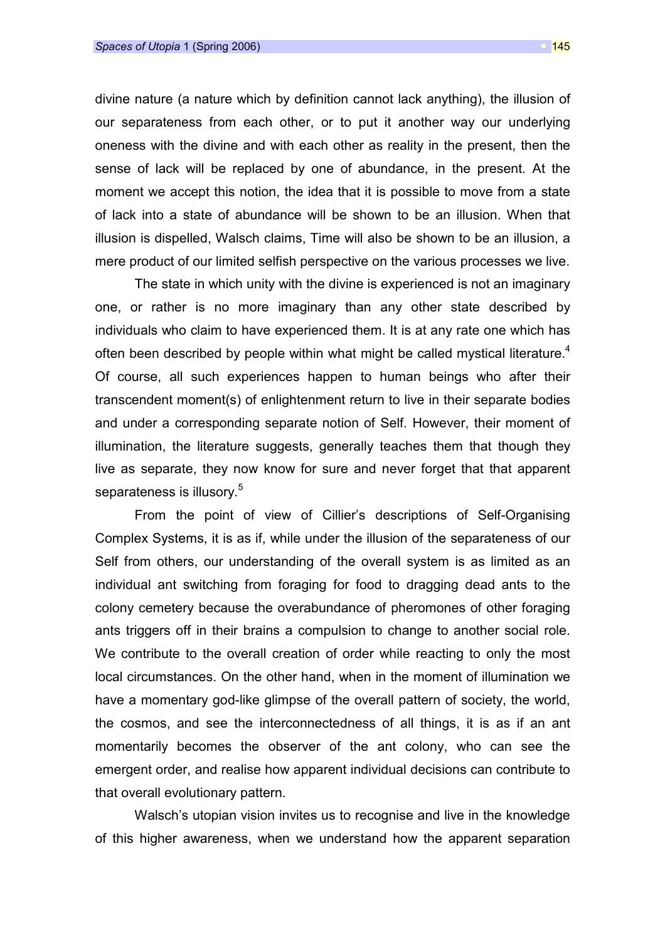divine nature (a nature which by definition cannot lack anything), the illusion of our separateness from each other, or to put it another way our underlying oneness with the divine and with each other as reality in the present, then the sense of lack will be replaced by one of abundance, in the present. At the moment we accept this notion, the idea that it is possible to move from a state of lack into a state of abundance will be shown to be an illusion. When that illusion is dispelled, Walsch claims, Time will also be shown to be an illusion, a mere product of our limited selfish perspective on the various processes we live.

The state in which unity with the divine is experienced is not an imaginary one, or rather is no more imaginary than any other state described by individuals who claim to have experienced them. It is at any rate one which has often been described by people within what might be called mystical literature.<sup>4</sup> Of course, all such experiences happen to human beings who after their transcendent moment(s) of enlightenment return to live in their separate bodies and under a corresponding separate notion of Self. However, their moment of illumination, the literature suggests, generally teaches them that though they live as separate, they now know for sure and never forget that that apparent separateness is illusory. $^5\,$ 

From the point of view of Cillier's descriptions of Self-Organising Complex Systems, it is as if, while under the illusion of the separateness of our Self from others, our understanding of the overall system is as limited as an individual ant switching from foraging for food to dragging dead ants to the colony cemetery because the overabundance of pheromones of other foraging ants triggers off in their brains a compulsion to change to another social role. We contribute to the overall creation of order while reacting to only the most local circumstances. On the other hand, when in the moment of illumination we have a momentary god-like glimpse of the overall pattern of society, the world, the cosmos, and see the interconnectedness of all things, it is as if an ant momentarily becomes the observer of the ant colony, who can see the emergent order, and realise how apparent individual decisions can contribute to that overall evolutionary pattern.

Walsch's utopian vision invites us to recognise and live in the knowledge of this higher awareness, when we understand how the apparent separation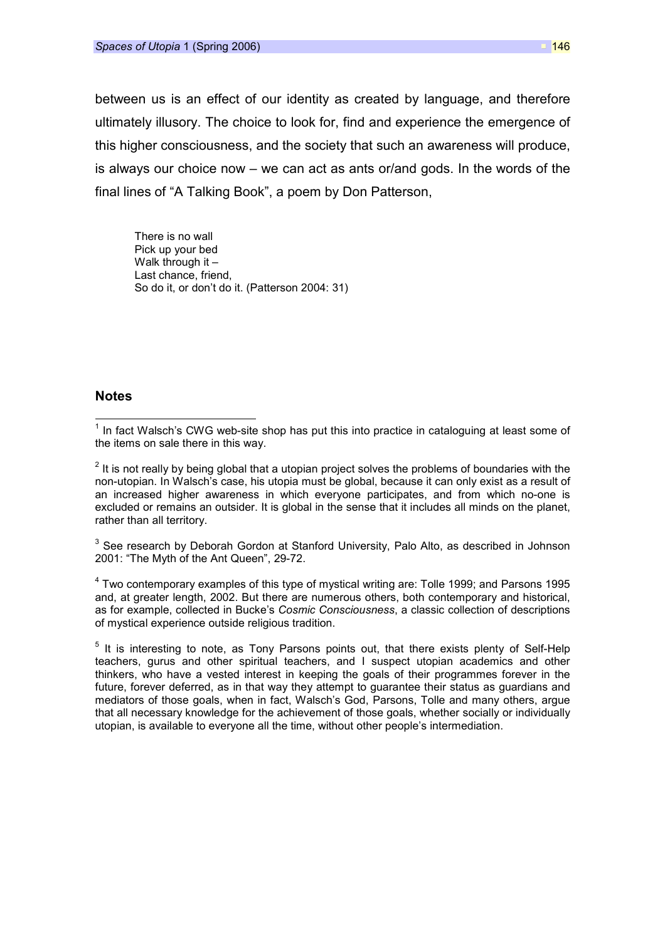between us is an effect of our identity as created by language, and therefore ultimately illusory. The choice to look for, find and experience the emergence of this higher consciousness, and the society that such an awareness will produce, is always our choice now – we can act as ants or/and gods. In the words of the final lines of "A Talking Book", a poem by Don Patterson,

There is no wall Pick up your bed Walk through it – Last chance, friend, So do it, or don't do it. (Patterson 2004: 31)

## **Notes**

 $\overline{a}$ 

 $2$  It is not really by being global that a utopian project solves the problems of boundaries with the non-utopian. In Walsch's case, his utopia must be global, because it can only exist as a result of an increased higher awareness in which everyone participates, and from which no-one is excluded or remains an outsider. It is global in the sense that it includes all minds on the planet, rather than all territory.

 $3$  See research by Deborah Gordon at Stanford University, Palo Alto, as described in Johnson 2001: "The Myth of the Ant Queen", 29-72.

 $4$  Two contemporary examples of this type of mystical writing are: Tolle 1999; and Parsons 1995 and, at greater length, 2002. But there are numerous others, both contemporary and historical, as for example, collected in Bucke's Cosmic Consciousness, a classic collection of descriptions of mystical experience outside religious tradition.

<sup>5</sup> It is interesting to note, as Tony Parsons points out, that there exists plenty of Self-Help teachers, gurus and other spiritual teachers, and I suspect utopian academics and other thinkers, who have a vested interest in keeping the goals of their programmes forever in the future, forever deferred, as in that way they attempt to guarantee their status as guardians and mediators of those goals, when in fact, Walsch's God, Parsons, Tolle and many others, argue that all necessary knowledge for the achievement of those goals, whether socially or individually utopian, is available to everyone all the time, without other people's intermediation.

 $1$  In fact Walsch's CWG web-site shop has put this into practice in cataloguing at least some of the items on sale there in this way.